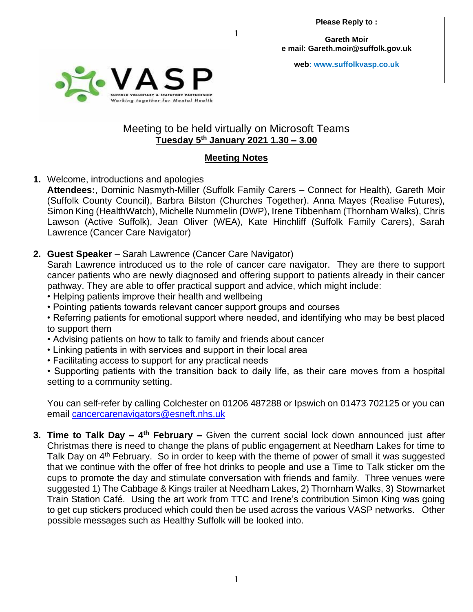**Gareth Moir e mail: Gareth.moir@suffolk.gov.uk**

**web: www.suffolkvasp.co.uk**



## Meeting to be held virtually on Microsoft Teams **Tuesday 5 th January 2021 1.30 – 3.00**

1

## **Meeting Notes**

**1.** Welcome, introductions and apologies

**Attendees:**, Dominic Nasmyth-Miller (Suffolk Family Carers – Connect for Health), Gareth Moir (Suffolk County Council), Barbra Bilston (Churches Together). Anna Mayes (Realise Futures), Simon King (HealthWatch), Michelle Nummelin (DWP), Irene Tibbenham (Thornham Walks), Chris Lawson (Active Suffolk), Jean Oliver (WEA), Kate Hinchliff (Suffolk Family Carers), Sarah Lawrence (Cancer Care Navigator)

**2. Guest Speaker** – Sarah Lawrence (Cancer Care Navigator)

Sarah Lawrence introduced us to the role of cancer care navigator. They are there to support cancer patients who are newly diagnosed and offering support to patients already in their cancer pathway. They are able to offer practical support and advice, which might include:

- Helping patients improve their health and wellbeing
- Pointing patients towards relevant cancer support groups and courses

• Referring patients for emotional support where needed, and identifying who may be best placed to support them

- Advising patients on how to talk to family and friends about cancer
- Linking patients in with services and support in their local area
- Facilitating access to support for any practical needs

• Supporting patients with the transition back to daily life, as their care moves from a hospital setting to a community setting.

You can self-refer by calling Colchester on 01206 487288 or Ipswich on 01473 702125 or you can email [cancercarenavigators@esneft.nhs.uk](mailto:cancercarenavigators@esneft.nhs.uk)

**3. Time to Talk Day – 4 th February –** Given the current social lock down announced just after Christmas there is need to change the plans of public engagement at Needham Lakes for time to Talk Day on 4<sup>th</sup> February. So in order to keep with the theme of power of small it was suggested that we continue with the offer of free hot drinks to people and use a Time to Talk sticker om the cups to promote the day and stimulate conversation with friends and family. Three venues were suggested 1) The Cabbage & Kings trailer at Needham Lakes, 2) Thornham Walks, 3) Stowmarket Train Station Café. Using the art work from TTC and Irene's contribution Simon King was going to get cup stickers produced which could then be used across the various VASP networks. Other possible messages such as Healthy Suffolk will be looked into.